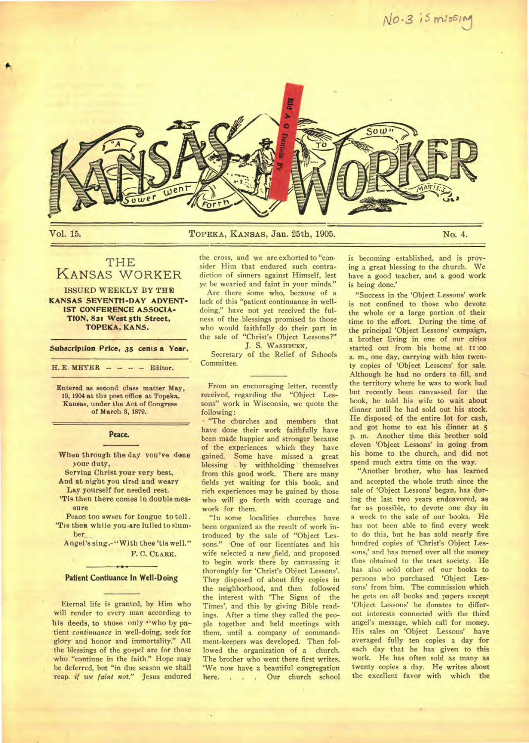

THE KANSAS WORKER

**ISSUED WEEKLY BY THE KANSAS SEVENTH-DAY ADVENT-IST CONFERENCE ASSOCIA-TION, 821 West 5th** *Street,*  **TOPEKA, KANS.** 

| Subscription Price, 35 cents a Year. |  |  | $\sim$ |  |
|--------------------------------------|--|--|--------|--|
| $H.E. MEYER$ - - - Editor.           |  |  |        |  |

Entered as second class matter May, 19, 1904 at the post office at Topeka, Kansas, under the Act of Congress of March 3, 1879.

## **Peace.**

- When through the day you've done your duty,
- Serving Christ your very best, And at night you tired and weary
- Lay yourself for needed rest.
- 'Tis then there comes in double measure

Peace too sweet for tongue to tell . 'Tis then while you are lulled to slumber\_

Angel's sing.-"With thee 'tis well." F. C. CLARK.

### **Patient Contivance In Well-Doing**

Eternal life is granted, by Him who will render to every man according to his deeds, to those only "who by patient *continuance* in well-doing, seek for glory and honor and immortality." All the blessings of the gospel are for those who "continue in the faith." Hope may be deferred, but "in due season we shall reap. *if we faint* not." Jesus endured the cross, and we are exhorted to "con• sider Him that endured such contradiction of sinners against Himself, lest ye be wearied and faint in your minds."

Are there some who, because of a lack of this "patient continuance in welldoing," have not yet received the fulness of the blessings promised to those who would faithfully do their part in the sale of "Christ's Object Lessons?" J. S. WASHBURN,

Secretary of the Relief of Schools Committee.

From an encouraging letter, recently received, regarding the "Object Lessons" work in Wisconsin, we quote the following:

"The churches and members that have done their work faithfully have been made happier and stronger because of the experiences which they have gained. Some have missed a great blessing . by withholding themselves from this good work. There are many fields yet waiting for this book, and rich experiences may be gained by those who will go forth with courage and work for them.

"In some localities churches have been organized as the result of work introduced by the sale of "Object Lessons." One of our licentiates and his wife selected a new field, and proposed to begin work there by canvassing it thoroughly for 'Christ's Object Lessons'. They disposed of about fifty copies in the neighborhood, and then followed the interest with 'The Signs of the Times', and this by giving Bible readings. After a time they called the people together and held meetings with them, until a company of commandment-keepers was developed. Then followed the organization of a church. The brother who went there first writes, 'We now have a beautiful congregation here. . . . Our church school is becoming established, and is proving a great blessing to the church. We have a good teacher, and a good work is being done.'

"Success in the 'Object Lessons' work is not confined to those who devote the whole or a large portion of their time to the effort. During the time of the principal 'Object Lessons' campaign, a brother living in one of our cities started out from his home at II:00 a. m., one day, carrying with him twenty copies of 'Object Lessons' for sale. Although he had no orders to fill, and the territory where he was to work had but recently been canvassed for the book, he told his wife to wait about dinner until he had sold out his stock. He disposed of the entire lot for cash, and got home to eat his dinner at 5 p. m. Another time this brother sold eleven 'Object Lessons' in going from his home to the church, and did not spend much extra time on the way.

"Another brother, who has learned and accepted the whole truth since the sale of 'Object Lessons' began, has during the last two years endeavored, as far as possible, to devote one day in a week to the sale of our books. He has not been able to find every week to do this, but he has sold nearly five hundred copies of 'Christ's Object Lessons,' and has turned over all the money thus obtained to the tract society. He has also sold other of our books to persons who purchased 'Object Lessons' from him. The commission which he gets on all books and papers except 'Object Lessons' he donates to different interests connected with the third angel's message, which call for money. His sales on 'Object Lessons' have averaged fully ten copies a day for each day that he has given to this work. He has often sold as many as twenty copies a day. He writes about the excellent favor with which the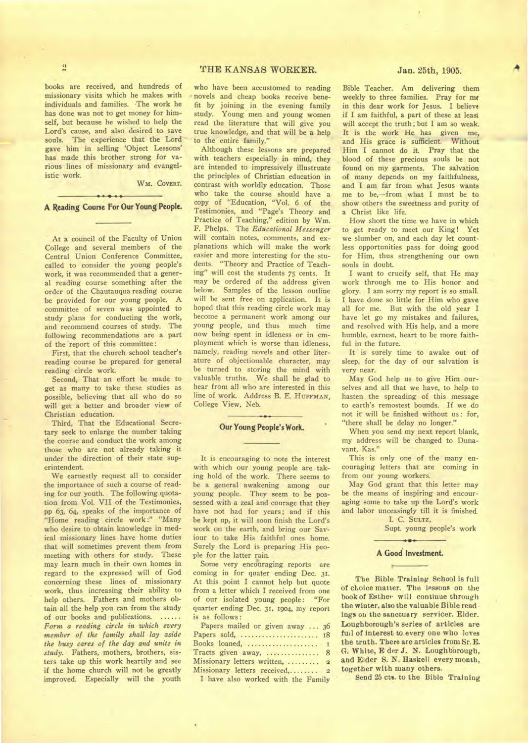books are received, and hundreds of missionary visits which he makes with individuals and families. The work he has done was not to get money for himself, but because he wished to help the Lord's cause, and also desired to save souls. The experience that the Lord gave him in selling 'Object Lessons' has made this brother strong for various lines of missionary and evangelistic work.

W<sub>M.</sub> COVERT.

## **A Reading Course For Our Young People.**

At a council of the Faculty of Union College and several members of the Central Union Conference Committee, called to consider the young people's work, it was recommended that a general reading course something after the order of the Chautauqua reading course be provided for our young people. A committee of seven was appointed to study plans for conducting the work, and recommend courses of study. The following recommendations are a part of the report of this committee:

First, that the church school teacher's reading course be prepared for general reading circle work.

Second, That an effort be made to get as many to take these studies as possible, believing that all who do so will get a better and broader view of Christian education.

Third, That the Educational Secretary seek to enlarge the number taking the course and conduct the work among those who are not already taking it under the direction of their state superintendent.

We earnestly request all to consider the importance of such a course of reading for our youth. The following quotation from Vol. VII of the Testimonies, pp 63, 64, speaks of the importance of "Home reading circle work:" "Many who desire to obtain knowledge in medical missionary lines have home duties that will sometimes prevent them from meeting with others for study. These may learn much in their own homes in regard to the expressed will of God concerning these lines of missionary work, thus increasing their ability to help others. Fathers and mothers obtain all the help you can from the study of our books and publications. *Form a reading circle in which every member of the family shall lay aside the busy cares of the day and unite in study.* Fathers, mothers, brothers, sisters take up this work heartily and see if the home church will not be greatly improved. Especially will the youth who have been accustomed to reading novels and cheap books receive benefit by joining in the evening family study. Young men and young women read the literature that will give you true knowledge, and that will be a help to the entire family."

Although these lessons are prepared with teachers especially in mind, they are intended to impressively illustruate the principles of Christian education in contrast with worldly education. Those who take the course should have a copy of "Education, "Vol. 6 of the Testimonies, and "Page's Theory and Practice of Teaching," edition by Wm. F. Phelps. The *Educational Messenger*  will contain notes, comments, and explanations which will make the work easier and more interesting for the students. "Theory and Practice of Teaching" will cost the students 75 cents. It may be ordered of the address given below. Samples of the lesson outline will be sent free on application. It is hoped that this reading circle work may become a permanent work among our young people, and thus much time now being spent in idleness or in employment which is worse than idleness, namely, reading novels and other literature of objectionable character, may be turned to storing the mind with valuable truths. We shall be glad to hear from all who are interested in this line of work. Address B. E. **HUFFMAN,**  College View, Neb.

## **Our Young People's Work.**

It is encouraging to note the interest with which our young people are taking hold of the work. There seems to be a general awakening among our young people. They seem to be possessed with a zeal and courage that they have not had for years; and if this be kept up, it will soon finish the Lord's work on the earth, and bring our Saviour to take His faithful ones home. Surely the Lord is preparing His people for the latter rain.

Some very encouraging reports are coming in for quater ending Dec. 31. At this point I cannot help but quote from a letter which I received from one of our isolated young people: "For quarter ending Dec. 31. 1904, my report is as follows:

| Papers mailed or given away  36                                                                                                                                                                                                    |  |
|------------------------------------------------------------------------------------------------------------------------------------------------------------------------------------------------------------------------------------|--|
| Papers sold,  18                                                                                                                                                                                                                   |  |
|                                                                                                                                                                                                                                    |  |
| Tracts given away,  8                                                                                                                                                                                                              |  |
| Missionary letters written,  2                                                                                                                                                                                                     |  |
| Missionary letters received,  2                                                                                                                                                                                                    |  |
| $\mathcal{F}$ . The contract of the contract of the contract of the contract of the contract of the contract of the contract of the contract of the contract of the contract of the contract of the contract of the contract of th |  |

I have also worked with the Family

Bible Teacher. Am delivering them weekly to three families. Pray for me in this dear work for Jesus. I believe if I am faithful, a part of these at least will accept the truth; but I am so weak. It is the work He has given me, and His grace is sufficient. Without Him I cannot do it. Pray that the blood of these precious souls be not found on my garments. The salvation of many depends on my faithfulness, and I am far from what Jesus wants me to be,—from what I must be to show others the sweetness and purity of a Christ like life.

How short the time we have *in* which to get ready to meet our King! Yet we slumber on, and each day let countless opportunities pass for doing good for Him, thus strengthening our own souls in doubt.

I want to crucify self, that He may work through me to His honor and glory. I am sorry my report is so small. I have done so little for Him who gave all for me. But with the old year I have let go my mistakes and failures, and resolved with His help, and a more humble, earnest, heart to be more faithful in the future.

It is surely time to awake out of sleep, for the day of our salvation is very near.

May God help us to give Him ourselves and all that we have, to help to hasten the spreading of this message to earth's remostest bounds. If we do not it will be finished without us : for, "there shall be delay no longer."

When you send my next report blank, my address will be changed to Dunavant, Kas."

This is only one of the many encouraging letters that are coming in from our young workers.

May God grant that this letter may be the means of inspiring and encouraging some to take up the Lord's work and labor unceasingly till it is finished.

I. C. **SULTZ,** 

Supt. young people's work

#### **A Good Investment.**

The Bible Training School is full of choice matter. The lessons on the book of Esther will continue through the winter, also the valuable Bible read ings on the sanctuary servicer. Elder. Loughborough's series of articles are full of interest to every one who loves the truth. There are articles from Sr.E. G. White, F der J. N. Loughborough, and Elder S. N. Haskell every month, together with many others.

Send 25 cts. to the Bible Training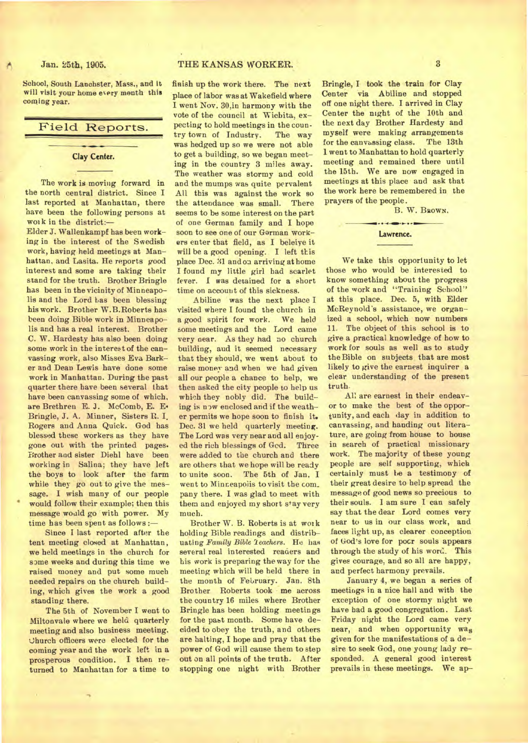School, South Lanchster, Mass., and it will visit your home every month this coming year.

## Field Reports.

## **Clay Center.**

The work is moving forward **in**  the north central district. Since I last reported at Manhattan, there have been the following persons at work in the district:-

Elder J. Wallenkampf has been working in the interest of the Swedish work, having held meetings at Manhattan, and Lasita. He reports good interest and some are taking their stand for the truth. Brother Bringle has been in the vicinity of Minneapolis and the Lord bas been blessing his work. Brother W.B.Roberts has been doing Bible work in Minneapolis and has a real interest. Brother C. W. Hardesty has also been doing some work in the interest of the canvassing work, also Misses Eva Barker and Dean Lewis have done some work in Manhattan. During the past quarter there have been several that have been canvassing some of which, are Brethren E. J. McComb, E. E. Bringle, J. A. Minner, Sisters R. I, Rogers and Anna Quick. God has blessed these workers as they have gone out with the printed pages. Brother and sister Diehl have been working in Salina; they have left the boys to look after the farm while they go out to give the message. I wish many of our people would follow their example; then this message would go with power. My time has been spent as follows :—

Since I last reported after the tent meeting closed at Manhattan, we held meetings in the church for some weeks and during this time we raised money and put some much needed repairs on the church building, which gives the work a good standing there.

The 5th of November I went to Miltonvale where we held quarterly meeting and also business meeting. Uhurch officers were elected for the coming year and the work left in a prosperous condition. I then returned to Manhattan for a time to

## **Jan. 25th, 1905. THE KANSAS WORKER. 3**

finish up the work there. The next place of labor was at Wakefield where I went Nov. 30,in harmony with the vote of the council at Wichita, expecting to hold meetings in the coun-<br>try town of Industry. The way try town of Industry. was hedged up so we were not able to get a building, so we began meeting in the country 3 miles away. The weather was stormy and cold and the mumps was quite pervalent All this was against the work so the attendance was small. There seems to be some interest on the part of one German family and I hope soon to see one of our German workers enter that field, as I beleiye it will be a good opening. I left this place Dec. 31 and on arriving at home I found my little girl had scarlet fever. I was detained for a short time on account of this sickness.

Abiline was the next place I visited where I found the church in a good spirit for work. We held some meetings and the Lord came very near. As they had no church building, and it seemed necessary that they should, we went about to raise money and when we had given all our people a chance to help, we then asked the city people to help us which they nobly did. The building is now enclosed and if the weather permits we hope soon to finish it. Dec. 31 we held quarterly meeting. The Lord was very near and all enjoyed the rich blessings of God. Three were added to the church and there are others that we hope will be ready to unite soon. The 5th of Jan, I went to Minneapolis to visit the com. pany there. I was glad to meet with them and enjoyed my short stay very much.

Brother W. B. Roberts is at wor k holding Bible readings and distribuating *Family Bible* t*eachers.* He has several real interested readers and his work is preparing the way for the meeting which will be held there in the month of February. Jan. 8th Brother Roberts took me across the country 16 miles where Brother Bringle has been holding meetings for the past month. Some have decided to obey the truth, and others are halting, I hope and pray that the power of God will cause them to step out on all points of the truth. After stopping one night with Brother

Bringle, I took the train for Clay Center via Abiline and stopped off one night there. I arrived in Clay Center the night of the 10th and the next day Brother Hardesty and myself were making arrangements for the canvassing class. The 13th 1 went to Manhattan to hold quarterly meeting and remained there until the 15th. We are now engaged in meetings at this place and ask that the work here be remembered in the prayers of the people.

B. W. BROWN.

# $\cdots$ **Lawrence.**

We take this opportunity to let those who would be interested to know something about the progress of the work and "Training School" at this place. Dec. 5, with Elder McReynold's assistance, we organized a school, which now numbers 11. The object of this school is to give a practical knowledge of how to work for souls as well as to study the Bible on subjects that are most likely to give the earnest inquirer a clear understanding of the present truth-

All are earnest in their endeavor to make the best of the opportunity, and each day in addition to canvassing, and handing out literature, are going from house to house in search of practical missionary work. The majority of these young people are self supporting, which certainly must be a testimony of their great desire to help spread the message of good news so precious to their souls. I am sure I can safely say that the dear Lord comes very near to us in our class work, and faces light up, as clearer conception of God's love for pocr souls appears through the study of his word. This gives courage, and so all are happy, and perfect harmony prevails.

January 4, we began a series of meetings in a nice hall and with the exception of one stormy night we have had a good congregation. Last Friday night the Lord came very near, and when opportunity was given for the manifestations of a desire to seek God, one young lady responded. A general good interest prevails in these meetings. We ap-